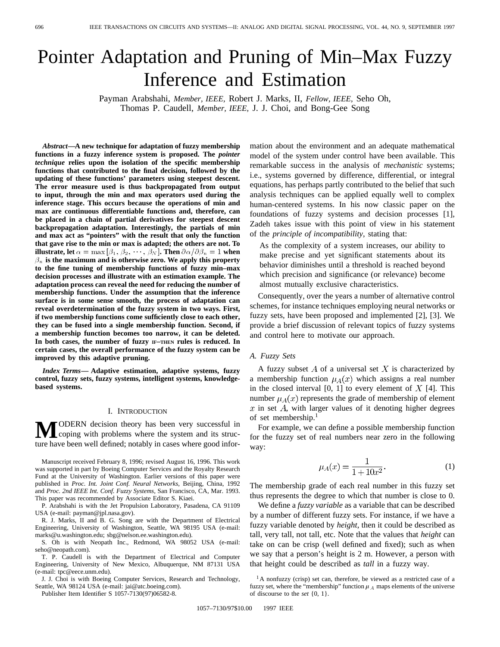# Pointer Adaptation and Pruning of Min–Max Fuzzy Inference and Estimation

Payman Arabshahi, *Member, IEEE,* Robert J. Marks, II, *Fellow, IEEE,* Seho Oh, Thomas P. Caudell, *Member, IEEE,* J. J. Choi, and Bong-Gee Song

*Abstract—***A new technique for adaptation of fuzzy membership functions in a fuzzy inference system is proposed. The** *pointer technique* **relies upon the isolation of the specific membership functions that contributed to the final decision, followed by the updating of these functions' parameters using steepest descent. The error measure used is thus backpropagated from output to input, through the min and max operators used during the inference stage. This occurs because the operations of min and max are continuous differentiable functions and, therefore, can be placed in a chain of partial derivatives for steepest descent backpropagation adaptation. Interestingly, the partials of min and max act as "pointers" with the result that only the function that gave rise to the min or max is adapted; the others are not. To illustrate, let**  $\alpha = \max[\beta_1, \beta_2, \cdots, \beta_N]$ . Then  $\partial \alpha/\partial \beta_n = 1$  when  $\beta_n$  is the maximum and is otherwise zero. We apply this property **to the fine tuning of membership functions of fuzzy min–max decision processes and illustrate with an estimation example. The adaptation process can reveal the need for reducing the number of membership functions. Under the assumption that the inference surface is in some sense smooth, the process of adaptation can reveal overdetermination of the fuzzy system in two ways. First, if two membership functions come sufficiently close to each other, they can be fused into a single membership function. Second, if a membership function becomes too narrow, it can be deleted. In both cases, the number of fuzzy IF–THEN rules is reduced. In certain cases, the overall performance of the fuzzy system can be improved by this adaptive pruning.**

*Index Terms—* **Adaptive estimation, adaptive systems, fuzzy control, fuzzy sets, fuzzy systems, intelligent systems, knowledgebased systems.**

## I. INTRODUCTION

**M**ODERN decision theory has been very successful in coping with problems where the system and its structure have been well defined; notably in cases where good infor-

Manuscript received February 8, 1996; revised August 16, 1996. This work was supported in part by Boeing Computer Services and the Royalty Research Fund at the University of Washington. Earlier versions of this paper were published in *Proc. Int. Joint Conf. Neural Networks,* Beijing, China, 1992 and *Proc. 2nd IEEE Int. Conf. Fuzzy Systems,* San Francisco, CA, Mar. 1993. This paper was recommended by Associate Editor S. Kiaei.

P. Arabshahi is with the Jet Propulsion Laboratory, Pasadena, CA 91109 USA (e-mail: payman@jpl.nasa.gov).

R. J. Marks, II and B. G. Song are with the Department of Electrical Engineering, University of Washington, Seattle, WA 98195 USA (e-mail: marks@u.washington.edu; sbg@nelson.ee.washington.edu).

S. Oh is with Neopath Inc., Redmond, WA 98052 USA (e-mail: seho@neopath.com).

T. P. Caudell is with the Department of Electrical and Computer Engineering, University of New Mexico, Albuquerque, NM 87131 USA (e-mail: tpc@eece.unm.edu).

J. J. Choi is with Boeing Computer Services, Research and Technology, Seattle, WA 98124 USA (e-mail: jai@atc.boeing.com).

Publisher Item Identifier S 1057-7130(97)06582-8.

mation about the environment and an adequate mathematical model of the system under control have been available. This remarkable success in the analysis of *mechanistic* systems; i.e., systems governed by difference, differential, or integral equations, has perhaps partly contributed to the belief that such analysis techniques can be applied equally well to complex human-centered systems. In his now classic paper on the foundations of fuzzy systems and decision processes [1], Zadeh takes issue with this point of view in his statement of the *principle of incompatibility*, stating that:

As the complexity of a system increases, our ability to make precise and yet significant statements about its behavior diminishes until a threshold is reached beyond which precision and significance (or relevance) become almost mutually exclusive characteristics.

Consequently, over the years a number of alternative control schemes, for instance techniques employing neural networks or fuzzy sets, have been proposed and implemented [2], [3]. We provide a brief discussion of relevant topics of fuzzy systems and control here to motivate our approach.

## *A. Fuzzy Sets*

A fuzzy subset  $A$  of a universal set  $X$  is characterized by a membership function  $\mu_A(x)$  which assigns a real number in the closed interval  $[0, 1]$  to every element of  $X$   $[4]$ . This number  $\mu_A(x)$  represents the grade of membership of element  $x$  in set  $A$ , with larger values of it denoting higher degrees of set membership.<sup>1</sup>

For example, we can define a possible membership function for the fuzzy set of real numbers near zero in the following way:

$$
\mu_A(x) = \frac{1}{1 + 10x^2}.\tag{1}
$$

The membership grade of each real number in this fuzzy set thus represents the degree to which that number is close to 0.

We define a *fuzzy variable* as a variable that can be described by a number of different fuzzy sets. For instance, if we have a fuzzy variable denoted by *height*, then it could be described as tall, very tall, not tall, etc. Note that the values that *height* can take on can be crisp (well defined and fixed); such as when we say that a person's height is 2 m. However, a person with that height could be described as *tall* in a fuzzy way.

<sup>1</sup>A nonfuzzy (crisp) set can, therefore, be viewed as a restricted case of a fuzzy set, where the "membership" function  $\mu_A$  maps elements of the universe of discourse to the *set* {0, 1}.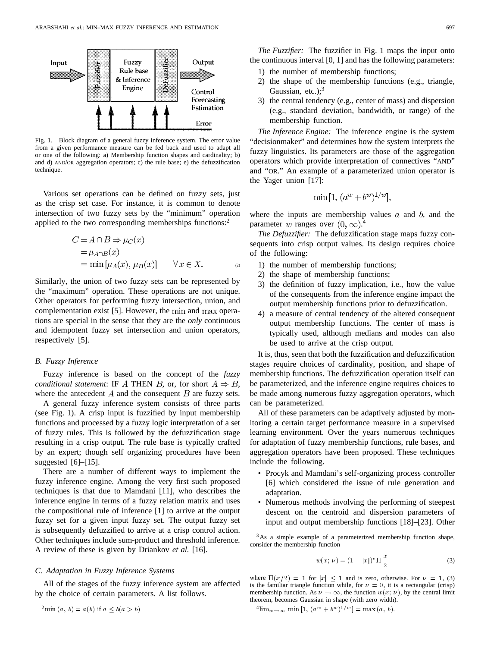

Fig. 1. Block diagram of a general fuzzy inference system. The error value from a given performance measure can be fed back and used to adapt all or one of the following: a) Membership function shapes and cardinality; b) and d) AND/OR aggregation operators; c) the rule base; e) the defuzzification technique.

Various set operations can be defined on fuzzy sets, just as the crisp set case. For instance, it is common to denote intersection of two fuzzy sets by the "minimum" operation applied to the two corresponding memberships functions:2

 $\sqrt{2}$ 

$$
C = A \cap B \Rightarrow \mu_C(x)
$$
  
=  $\mu_{A \cap B}(x)$   
=  $\min[\mu_A(x), \mu_B(x)]$   $\forall x \in X$ .

Similarly, the union of two fuzzy sets can be represented by the "maximum" operation. These operations are not unique. Other operators for performing fuzzy intersection, union, and complementation exist  $[5]$ . However, the min and max operations are special in the sense that they are the *only* continuous and idempotent fuzzy set intersection and union operators, respectively [5].

## *B. Fuzzy Inference*

Fuzzy inference is based on the concept of the *fuzzy conditional statement*: IF A THEN B, or, for short  $A \Rightarrow B$ , where the antecedent  $A$  and the consequent  $B$  are fuzzy sets.

A general fuzzy inference system consists of three parts (see Fig. 1). A crisp input is fuzzified by input membership functions and processed by a fuzzy logic interpretation of a set of fuzzy rules. This is followed by the defuzzification stage resulting in a crisp output. The rule base is typically crafted by an expert; though self organizing procedures have been suggested [6]–[15].

There are a number of different ways to implement the fuzzy inference engine. Among the very first such proposed techniques is that due to Mamdani [11], who describes the inference engine in terms of a fuzzy relation matrix and uses the compositional rule of inference [1] to arrive at the output fuzzy set for a given input fuzzy set. The output fuzzy set is subsequently defuzzified to arrive at a crisp control action. Other techniques include sum-product and threshold inference. A review of these is given by Driankov *et al.* [16].

## *C. Adaptation in Fuzzy Inference Systems*

All of the stages of the fuzzy inference system are affected by the choice of certain parameters. A list follows.

 $2 \text{min} (a, b) = a(b)$  if  $a \leq b(a > b)$ 

*The Fuzzifier:* The fuzzifier in Fig. 1 maps the input onto the continuous interval [0, 1] and has the following parameters:

- 1) the number of membership functions;
- 2) the shape of the membership functions (e.g., triangle, Gaussian, etc.); $3$
- 3) the central tendency (e.g., center of mass) and dispersion (e.g., standard deviation, bandwidth, or range) of the membership function.

*The Inference Engine:* The inference engine is the system "decisionmaker" and determines how the system interprets the fuzzy linguistics. Its parameters are those of the aggregation operators which provide interpretation of connectives "AND" and "OR." An example of a parameterized union operator is the Yager union [17]:

$$
\min[1, (a^w + b^w)^{1/w}],
$$

 $\overline{1}$ 

where the inputs are membership values  $a$  and  $b$ , and the parameter w ranges over  $(0, \infty)$ .<sup>4</sup>

*The Defuzzifier:* The defuzzification stage maps fuzzy consequents into crisp output values. Its design requires choice of the following:

- 1) the number of membership functions;
- 2) the shape of membership functions;
- 3) the definition of fuzzy implication, i.e., how the value of the consequents from the inference engine impact the output membership functions prior to defuzzification.
- 4) a measure of central tendency of the altered consequent output membership functions. The center of mass is typically used, although medians and modes can also be used to arrive at the crisp output.

It is, thus, seen that both the fuzzification and defuzzification stages require choices of cardinality, position, and shape of membership functions. The defuzzification operation itself can be parameterized, and the inference engine requires choices to be made among numerous fuzzy aggregation operators, which can be parameterized.

All of these parameters can be adaptively adjusted by monitoring a certain target performance measure in a supervised learning environment. Over the years numerous techniques for adaptation of fuzzy membership functions, rule bases, and aggregation operators have been proposed. These techniques include the following.

- Procyk and Mamdani's self-organizing process controller [6] which considered the issue of rule generation and adaptation.
- Numerous methods involving the performing of steepest descent on the centroid and dispersion parameters of input and output membership functions [18]–[23]. Other

<sup>3</sup>As a simple example of a parameterized membership function shape, consider the membership function

$$
w(x; \nu) = (1 - |x|)^{\nu} \prod_{1} \frac{x}{2}
$$
 (3)

where  $\Pi(x/2) = 1$  for  $|x| < 1$  and is zero, otherwise. For  $\nu = 1$ , (3) is the familiar triangle function while, for  $\nu = 0$ , it is a rectangular (crisp) membership function. As  $\nu \to \infty$ , the function  $w(x; \nu)$ , by the central limit theorem, becomes Gaussian in shape (with zero width).

 $^{4}$ lim $w \rightarrow \infty$  min [1,  $(a^{w} + b^{w})^{1/w}$ ] = max  $(a, b)$ .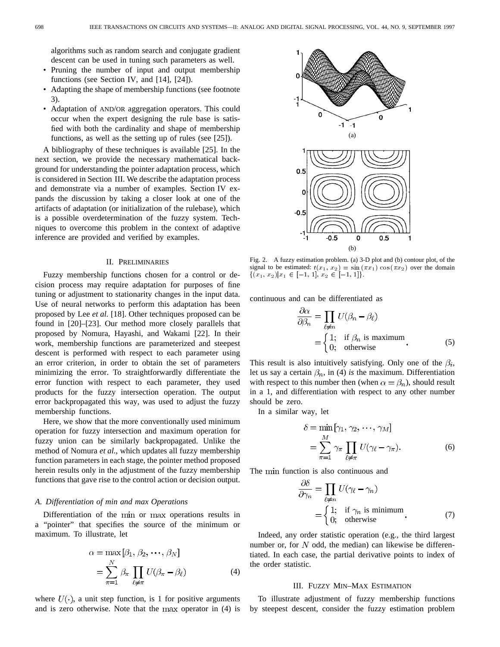algorithms such as random search and conjugate gradient descent can be used in tuning such parameters as well.

- Pruning the number of input and output membership functions (see Section IV, and [14], [24]).
- Adapting the shape of membership functions (see footnote 3).
- Adaptation of AND/OR aggregation operators. This could occur when the expert designing the rule base is satisfied with both the cardinality and shape of membership functions, as well as the setting up of rules (see [25]).

A bibliography of these techniques is available [25]. In the next section, we provide the necessary mathematical background for understanding the pointer adaptation process, which is considered in Section III. We describe the adaptation process and demonstrate via a number of examples. Section IV expands the discussion by taking a closer look at one of the artifacts of adaptation (or initialization of the rulebase), which is a possible overdetermination of the fuzzy system. Techniques to overcome this problem in the context of adaptive inference are provided and verified by examples.

# II. PRELIMINARIES

Fuzzy membership functions chosen for a control or decision process may require adaptation for purposes of fine tuning or adjustment to stationarity changes in the input data. Use of neural networks to perform this adaptation has been proposed by Lee *et al.* [18]. Other techniques proposed can be found in [20]–[23]. Our method more closely parallels that proposed by Nomura, Hayashi, and Wakami [22]. In their work, membership functions are parameterized and steepest descent is performed with respect to each parameter using an error criterion, in order to obtain the set of parameters minimizing the error. To straightforwardly differentiate the error function with respect to each parameter, they used products for the fuzzy intersection operation. The output error backpropagated this way, was used to adjust the fuzzy membership functions.

Here, we show that the more conventionally used minimum operation for fuzzy intersection and maximum operation for fuzzy union can be similarly backpropagated. Unlike the method of Nomura *et al.*, which updates all fuzzy membership function parameters in each stage, the pointer method proposed herein results only in the adjustment of the fuzzy membership functions that gave rise to the control action or decision output.

## *A. Differentiation of min and max Operations*

Differentiation of the min or max operations results in a "pointer" that specifies the source of the minimum or maximum. To illustrate, let

$$
\alpha = \max_{N} [\beta_1, \beta_2, \cdots, \beta_N]
$$
  
= 
$$
\sum_{\pi=1}^{N} \beta_{\pi} \prod_{\ell \neq \pi} U(\beta_{\pi} - \beta_{\ell})
$$
 (4)

where  $U(\cdot)$ , a unit step function, is 1 for positive arguments and is zero otherwise. Note that the max operator in  $(4)$  is



Fig. 2. A fuzzy estimation problem. (a) 3-D plot and (b) contour plot, of the signal to be estimated:  $t(x_1, x_2) = \sin(\pi x_1) \cos(\pi x_2)$  over the domain  $\{(x_1, x_2)|x_1 \in [-1, 1], x_2 \in [-1, 1]\}.$ 

continuous and can be differentiated as

 $\Omega$ 

$$
\frac{\partial \alpha}{\partial \beta_n} = \prod_{\ell \neq n} U(\beta_n - \beta_\ell)
$$
  
= 
$$
\begin{cases} 1; & \text{if } \beta_n \text{ is maximum} \\ 0; & \text{otherwise} \end{cases}
$$
 (5)

This result is also intuitively satisfying. Only one of the  $\beta_i$ , let us say a certain  $\beta_n$ , in (4) *is* the maximum. Differentiation with respect to this number then (when  $\alpha = \beta_n$ ), should result in a 1, and differentiation with respect to any other number should be zero.

In a similar way, let

$$
\delta = \min_{\pi} [\gamma_1, \gamma_2, \cdots, \gamma_M]
$$
  
= 
$$
\sum_{\pi=1}^{M} \gamma_\pi \prod_{\ell \neq \pi} U(\gamma_\ell - \gamma_\pi).
$$
 (6)

The min function is also continuous and

$$
\frac{\partial \delta}{\partial \gamma_n} = \prod_{\ell \neq n} U(\gamma_\ell - \gamma_n)
$$
  
= 
$$
\begin{cases} 1; & \text{if } \gamma_n \text{ is minimum} \\ 0; & \text{otherwise} \end{cases}
$$
 (7)

Indeed, any order statistic operation (e.g., the third largest number or, for  $N$  odd, the median) can likewise be differentiated. In each case, the partial derivative points to index of the order statistic.

#### III. FUZZY MIN–MAX ESTIMATION

To illustrate adjustment of fuzzy membership functions by steepest descent, consider the fuzzy estimation problem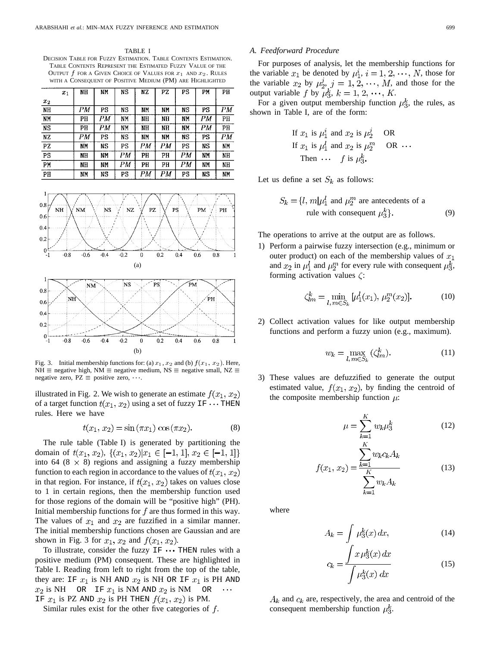TABLE I DECISION TABLE FOR FUZZY ESTIMATION. TABLE CONTENTS ESTIMATION. TABLE CONTENTS REPRESENT THE ESTIMATED FUZZY VALUE OF THE OUTPUT  $f$  for a Given Choice of Values for  $x_1$  and  $x_2$ . Rules WITH A CONSEQUENT OF POSITIVE MEDIUM (PM) ARE HIGHLIGHTED

|           | $x_1$ | NH | NΜ | NS | NZ        | PZ | PS | PM        | PH        |
|-----------|-------|----|----|----|-----------|----|----|-----------|-----------|
| $x_2$     |       |    |    |    |           |    |    |           |           |
| NH        |       | PМ | PS | ΝS | NM        | NМ | ΝS | PS        | PМ        |
| NM        |       | PН | PМ | NΜ | <b>NH</b> | NH | NM | PМ        | PН        |
| <b>NS</b> |       | PH | PМ | NM | NH        | NH | NM | PM        | PH        |
| NZ        |       | PМ | PS | NS | NΜ        | NΜ | NS | PS        | PM        |
| PZ        |       | NМ | ΝS | PS | PM        | PM | PS | NS        | NM        |
| PS        |       | NH | NΜ | PM | PH        | PН | PM | <b>NM</b> | NH        |
| PM        |       | NH | NM | PM | PH        | PН | PM | NM        | NH        |
| DН        |       | NM | Nς | ΡS | PМ        | PM | pς | NΞ        | <b>NM</b> |



Fig. 3. Initial membership functions for: (a)  $x_1$ ,  $x_2$  and (b)  $f(x_1, x_2)$ . Here, NH  $\equiv$  negative high, NM  $\equiv$  negative medium, NS  $\equiv$  negative small, NZ  $\equiv$ negative zero, PZ  $\equiv$  positive zero, ...

illustrated in Fig. 2. We wish to generate an estimate  $f(x_1, x_2)$ of a target function  $t(x_1, x_2)$  using a set of fuzzy IF  $\cdots$  THEN rules. Here we have

$$
t(x_1, x_2) = \sin(\pi x_1) \cos(\pi x_2). \tag{8}
$$

The rule table (Table I) is generated by partitioning the domain of  $t(x_1, x_2), \{(x_1, x_2)|x_1 \in [-1, 1], x_2 \in [-1, 1]\}$ into 64 (8  $\times$  8) regions and assigning a fuzzy membership function to each region in accordance to the values of  $t(x_1, x_2)$ in that region. For instance, if  $t(x_1, x_2)$  takes on values close to 1 in certain regions, then the membership function used for those regions of the domain will be "positive high" (PH). Initial membership functions for  $f$  are thus formed in this way. The values of  $x_1$  and  $x_2$  are fuzzified in a similar manner. The initial membership functions chosen are Gaussian and are shown in Fig. 3 for  $x_1, x_2$  and  $f(x_1, x_2)$ .

To illustrate, consider the fuzzy  $IF \cdots THEN$  rules with a positive medium (PM) consequent. These are highlighted in Table I. Reading from left to right from the top of the table, they are: IF  $x_1$  is NH AND  $x_2$  is NH OR IF  $x_1$  is PH AND  $x_2$  is NH OR IF  $x_1$  is NM AND  $x_2$  is NM OR IF  $x_1$  is PZ AND  $x_2$  is PH THEN  $f(x_1, x_2)$  is PM.

Similar rules exist for the other five categories of  $f$ .

## *A. Feedforward Procedure*

For purposes of analysis, let the membership functions for the variable  $x_1$  be denoted by  $\mu_1^i$ ,  $i = 1, 2, \dots, N$ , those for the variable  $x_2$  by  $\mu_2^j$ ,  $j = 1, 2, \dots, M$ , and those for the output variable f by  $\mu_3^k$ ,  $k = 1, 2, \dots, K$ .

For a given output membership function  $\mu_3^k$ , the rules, as shown in Table I, are of the form:

If 
$$
x_1
$$
 is  $\mu_1^i$  and  $x_2$  is  $\mu_2^j$  OR  
\nIf  $x_1$  is  $\mu_1^l$  and  $x_2$  is  $\mu_2^m$  OR  $\cdots$   
\nThen  $\cdots$  f is  $\mu_3^k$ .

Let us define a set  $S_k$  as follows:

$$
S_k = \{l, m | \mu_1^l \text{ and } \mu_2^m \text{ are antecedents of a}
$$
  
rule with consequent  $\mu_3^k\}$ . (9)

The operations to arrive at the output are as follows.

1) Perform a pairwise fuzzy intersection (e.g., minimum or outer product) on each of the membership values of  $x_1$ and  $x_2$  in  $\mu_1^l$  and  $\mu_2^m$  for every rule with consequent  $\mu_3^k$ , forming activation values  $\zeta$ :

$$
\zeta_{lm}^k = \min_{l,m \in S_k} \left[ \mu_1^l(x_1), \, \mu_2^m(x_2) \right]. \tag{10}
$$

2) Collect activation values for like output membership functions and perform a fuzzy union (e.g., maximum).

$$
w_k = \max_{l, m \in S_k} (\zeta_{lm}^k). \tag{11}
$$

3) These values are defuzzified to generate the output estimated value,  $f(x_1, x_2)$ , by finding the centroid of the composite membership function  $\mu$ :

$$
\mu = \sum_{k=1}^{K} w_k \mu_3^k \tag{12}
$$

$$
f(x_1, x_2) = \frac{\sum_{k=1}^{N} w_k c_k A_k}{\sum_{k=1}^{K} w_k A_k}
$$
 (13)

where

$$
A_k = \int \mu_3^k(x) \, dx,\tag{14}
$$

$$
c_k = \frac{\int x \,\mu_3^k(x) \, dx}{\int \mu_3^k(x) \, dx} \tag{15}
$$

 $A_k$  and  $c_k$  are, respectively, the area and centroid of the consequent membership function  $\mu_3^k$ .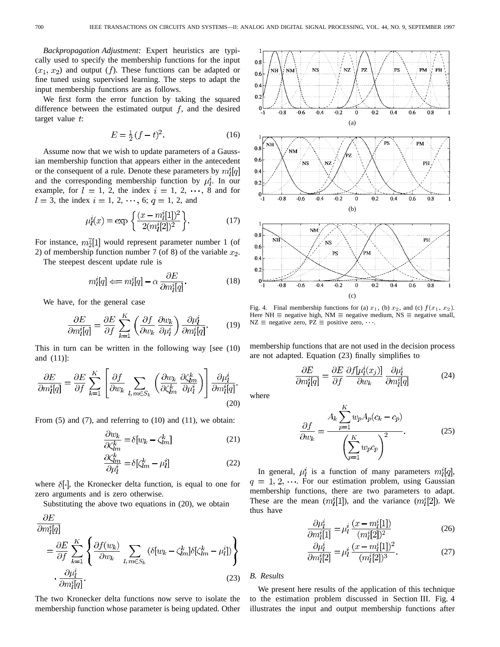*Backpropagation Adjustment:* Expert heuristics are typically used to specify the membership functions for the input  $(x_1, x_2)$  and output (f). These functions can be adapted or fine tuned using supervised learning. The steps to adapt the input membership functions are as follows.

We first form the error function by taking the squared difference between the estimated output  $f$ , and the desired target value  $t$ :

$$
E = \frac{1}{2}(f - t)^2.
$$
 (16)

Assume now that we wish to update parameters of a Gaussian membership function that appears either in the antecedent or the consequent of a rule. Denote these parameters by  $m_l^i[q]$ and the corresponding membership function by  $\mu_l^i$ . In our example, for  $l = 1, 2$ , the index  $i = 1, 2, \dots, 8$  and for  $l = 3$ , the index  $i = 1, 2, \dots, 6; q = 1, 2$ , and

$$
\mu_l^i(x) = \exp\left\{\frac{(x - m_l^i[1])^2}{2(m_l^i[2])^2}\right\}.
$$
 (17)

For instance,  $m_2^7[1]$  would represent parameter number 1 (of 2) of membership function number 7 (of 8) of the variable  $x_2$ .

The steepest descent update rule is

$$
m_l^i[q] \Longleftarrow m_l^i[q] - \alpha \frac{\partial E}{\partial m_l^i[q]}.
$$
 (18)

We have, for the general case

$$
\frac{\partial E}{\partial m_l^i[q]} = \frac{\partial E}{\partial f} \sum_{k=1}^K \left( \frac{\partial f}{\partial w_k} \frac{\partial w_k}{\partial \mu_l^i} \right) \frac{\partial \mu_l^i}{\partial m_l^i[q]}.
$$
(19)

This in turn can be written in the following way [see (10) and (11)]:

$$
\frac{\partial E}{\partial m_{l}^{i}[q]} = \frac{\partial E}{\partial f} \sum_{k=1}^{K} \left[ \frac{\partial f}{\partial w_{k}} \sum_{l, m \in S_{k}} \left( \frac{\partial w_{k}}{\partial \zeta_{lm}^{k}} \frac{\partial \zeta_{lm}^{k}}{\partial \mu_{l}^{i}} \right) \right] \frac{\partial \mu_{l}^{i}}{\partial m_{l}^{i}[q]}.
$$
\n(20)

From  $(5)$  and  $(7)$ , and referring to  $(10)$  and  $(11)$ , we obtain:

$$
\frac{\partial w_k}{\partial \zeta_{lm}^k} = \delta[w_k - \zeta_{lm}^k]
$$
 (21)

$$
\frac{\partial \zeta_{lm}^k}{\partial \mu_l^i} = \delta[\zeta_{lm}^k - \mu_l^i]
$$
\n(22)

where  $\delta[\cdot]$ , the Kronecker delta function, is equal to one for zero arguments and is zero otherwise.

Substituting the above two equations in (20), we obtain

$$
\frac{\partial E}{\partial m_{l}^{i}[q]} = \frac{\partial E}{\partial f} \sum_{k=1}^{K} \left\{ \frac{\partial f(w_{k})}{\partial w_{k}} \sum_{l, m \in S_{k}} (\delta[w_{k} - \zeta_{lm}^{k}] \delta[\zeta_{lm}^{k} - \mu_{l}^{i}]) \right\} \cdot \frac{\partial \mu_{l}^{i}}{\partial m_{l}^{i}[q]}.
$$
\n(23)

The two Kronecker delta functions now serve to isolate the membership function whose parameter is being updated. Other



Fig. 4. Final membership functions for (a)  $x_1$ , (b)  $x_2$ , and (c)  $f(x_1, x_2)$ . Here NH  $\equiv$  negative high, NM  $\equiv$  negative medium, NS  $\equiv$  negative small,  $NZ \equiv$  negative zero,  $PZ \equiv$  positive zero, ...

membership functions that are not used in the decision process are not adapted. Equation (23) finally simplifies to

$$
\frac{\partial E}{\partial m_{l}^{i}[q]} = \frac{\partial E}{\partial f} \frac{\partial f[\mu_{l}^{i}(x_{j})]}{\partial w_{k}} \frac{\partial \mu_{l}^{i}}{\partial m_{l}^{i}[q]} \tag{24}
$$

and the state

where

$$
\frac{\partial f}{\partial w_k} = \frac{A_k \sum_{p=1}^K w_p A_p (c_k - c_p)}{\left(\sum_{p=1}^K w_p c_p\right)^2}.
$$
\n(25)

In general,  $\mu_l^i$  is a function of many parameters  $m_l^i[q]$ ,  $q = 1, 2, \cdots$ . For our estimation problem, using Gaussian membership functions, there are two parameters to adapt. These are the mean  $(m_l^2[1])$ , and the variance  $(m_l^2[2])$ . We thus have

$$
\frac{\partial \mu_l^i}{\partial m_l^i[1]} = \mu_l^i \frac{(x - m_l^i[1])}{(m_l^i[2])^2} \tag{26}
$$

$$
\frac{\partial \mu_l^i}{\partial m_l^i[2]} = \mu_l^i \frac{(x - m_l^i[1])^2}{(m_l^i[2])^3}.
$$
 (27)

# *B. Results*

We present here results of the application of this technique to the estimation problem discussed in Section III. Fig. 4 illustrates the input and output membership functions after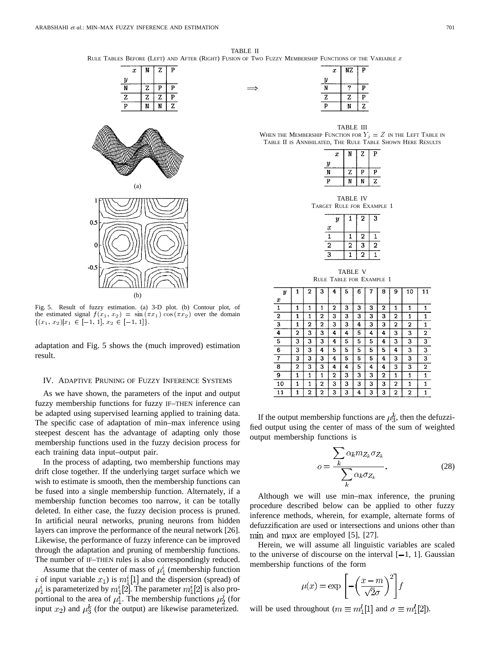TABLE II

RULE TABLES BEFORE (LEFT) AND AFTER (RIGHT) FUSION OF TWO FUZZY MEMBERSHIP FUNCTIONS OF THE VARIABLE x

|   | x | N | z | P |
|---|---|---|---|---|
| Y |   |   |   |   |
| N |   | z | P | P |
| z |   | z | z | P |
| P |   | N |   | Z |





Fig. 5. Result of fuzzy estimation. (a) 3-D plot. (b) Contour plot, of the estimated signal  $f(x_1, x_2) = \sin(\pi x_1) \cos(\pi x_2)$  over the domain  $\{(x_1, x_2)|x_1 \in [-1, 1], x_2 \in [-1, 1]\}.$ 

adaptation and Fig. 5 shows the (much improved) estimation result.

## IV. ADAPTIVE PRUNING OF FUZZY INFERENCE SYSTEMS

As we have shown, the parameters of the input and output fuzzy membership functions for fuzzy IF–THEN inference can be adapted using supervised learning applied to training data. The specific case of adaptation of min–max inference using steepest descent has the advantage of adapting only those membership functions used in the fuzzy decision process for each training data input–output pair.

In the process of adapting, two membership functions may drift close together. If the underlying target surface which we wish to estimate is smooth, then the membership functions can be fused into a single membership function. Alternately, if a membership function becomes too narrow, it can be totally deleted. In either case, the fuzzy decision process is pruned. In artificial neural networks, pruning neurons from hidden layers can improve the performance of the neural network [26]. Likewise, the performance of fuzzy inference can be improved through the adaptation and pruning of membership functions. The number of IF–THEN rules is also correspondingly reduced.

Assume that the center of mass of  $\mu_1^i$  (membership function i of input variable  $x_1$ ) is  $m_1^i[1]$  and the dispersion (spread) of  $\mu_1^i$  is parameterized by  $m_1^i[2]$ . The parameter  $m_1^i[2]$  is also proportional to the area of  $\mu_1^i$ . The membership functions  $\mu_2^j$  (for input  $x_2$ ) and  $\mu_3^k$  (for the output) are likewise parameterized.

|   | $\boldsymbol{x}$ | NZ | P  |
|---|------------------|----|----|
| y |                  |    |    |
| N |                  | 7  | P  |
| z |                  | z  | P  |
| P |                  |    | 7. |

TABLE III WHEN THE MEMBERSHIP FUNCTION FOR  $Y_j = Z$  in the Left Table in TABLE II IS ANNIHILATED, THE RULE TABLE SHOWN HERE RESULTS

| $\boldsymbol{x}$ | N | z | P |
|------------------|---|---|---|
| y                |   |   |   |
| N                | z | P | p |
| P                | N | N | z |

TABLE IV TARGET RULE FOR EXAMPLE 1

| Y                |   | 2              | 3 |
|------------------|---|----------------|---|
| $\boldsymbol{x}$ |   |                |   |
| 1                |   | $\overline{c}$ | 1 |
| 2                | 2 | 3              | 2 |
| 3                |   | 2              |   |

TABLE V RULE TABLE FOR EXAMPLE 1

| $\boldsymbol{y}$ | 1 | 2 | 3 | 4 | 5 | 6 | 7 | 8 | 9              | 10             | 11             |
|------------------|---|---|---|---|---|---|---|---|----------------|----------------|----------------|
| x                |   |   |   |   |   |   |   |   |                |                |                |
| 1                | 1 | 1 | 1 | 2 | з | 3 | 3 | 2 | 1              | 1              | 1              |
| $\mathbf{2}$     | 1 | 1 | 2 | 3 | 3 | 3 | 3 | 3 | $\overline{2}$ | 1              | 1              |
| 3                | 1 | 2 | 2 | 3 | 3 | 4 | 3 | з | 2              | 2              | 1              |
| 4                | 2 | 3 | 3 | 4 | 4 | 5 | 4 | 4 | 3              | 3              | 2              |
| 5                | 3 | 3 | 3 | 4 | 5 | 5 | 5 | 4 | 3              | 3              | 3              |
| 6                | 3 | 3 | 4 | 5 | 5 | 5 | 5 | 5 | 4              | 3              | 3              |
| 7                | 3 | 3 | 3 | 4 | 5 | 5 | 5 | 4 | 3              | 3              | 3              |
| 8                | 2 | 3 | 3 | 4 | 4 | 5 | 4 | 4 | 3              | 3              | $\overline{2}$ |
| 9                | 1 | 1 | 1 | 2 | 3 | 3 | 3 | 2 | 1              | 1              | 1              |
| 10               | 1 | 1 | 2 | 3 | 3 | 3 | 3 | 3 | 2              | 1              | 1              |
| 11               | 1 | 2 | 2 | 3 | 3 | 4 | 3 | 3 | 2              | $\overline{2}$ | 1              |

If the output membership functions are  $\mu_3^k$ , then the defuzzified output using the center of mass of the sum of weighted output membership functions is

$$
o = \frac{\sum_{k} \alpha_{k} m_{Z_{k}} \sigma_{Z_{k}}}{\sum_{k} \alpha_{k} \sigma_{Z_{k}}}.
$$
 (28)

Although we will use min–max inference, the pruning procedure described below can be applied to other fuzzy inference methods, wherein, for example, alternate forms of defuzzification are used or intersections and unions other than min and max are employed [5], [27].

Herein, we will assume all linguistic variables are scaled to the universe of discourse on the interval  $[-1, 1]$ . Gaussian membership functions of the form

$$
\mu(x) = \exp\left[-\left(\frac{x-m}{\sqrt{2}\sigma}\right)^2\right]f
$$

will be used throughout ( $m \equiv m_1^l[1]$  and  $\sigma \equiv m_1^l[2]$ ).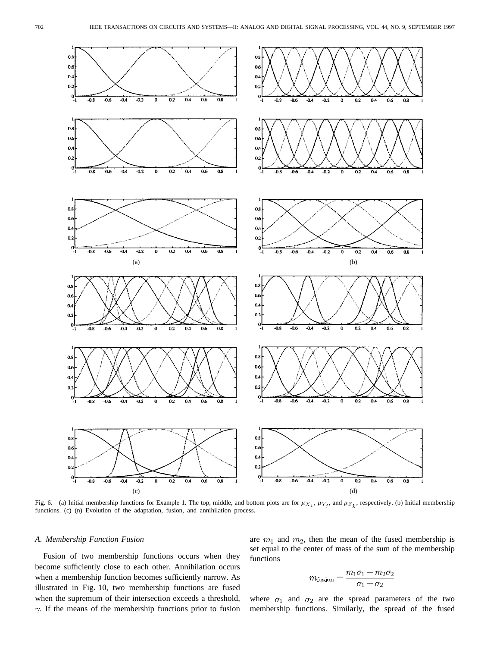

Fig. 6. (a) Initial membership functions for Example 1. The top, middle, and bottom plots are for  $\mu_{X_i}$ ,  $\mu_{Y_i}$ , and  $\mu_{Z_k}$ , respectively. (b) Initial membership functions. (c)–(n) Evolution of the adaptation, fusion, and annihilation process.

# *A. Membership Function Fusion*

Fusion of two membership functions occurs when they become sufficiently close to each other. Annihilation occurs when a membership function becomes sufficiently narrow. As illustrated in Fig. 10, two membership functions are fused when the supremum of their intersection exceeds a threshold,  $\gamma$ . If the means of the membership functions prior to fusion

are  $m_1$  and  $m_2$ , then the mean of the fused membership is set equal to the center of mass of the sum of the membership functions

$$
m_{\text{fusion}} = \frac{m_1 \sigma_1 + m_2 \sigma_2}{\sigma_1 + \sigma_2}
$$

where  $\sigma_1$  and  $\sigma_2$  are the spread parameters of the two membership functions. Similarly, the spread of the fused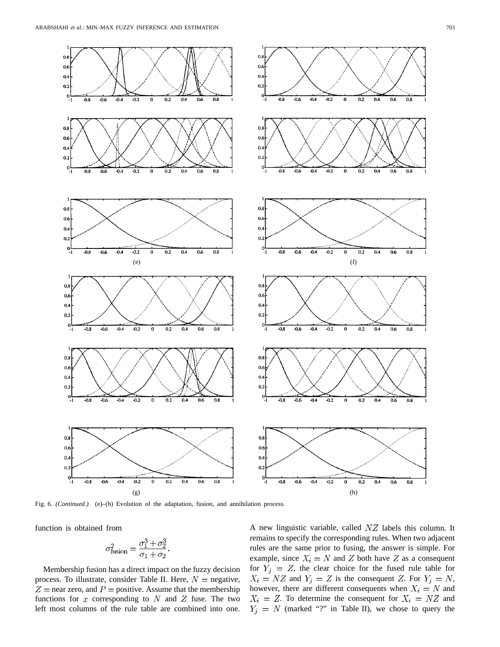

Fig. 6. *(Continued.)* (e)–(h) Evolution of the adaptation, fusion, and annihilation process.

function is obtained from

$$
\sigma_{\text{fusion}}^2 = \frac{\sigma_1^3 + \sigma_2^3}{\sigma_1 + \sigma_2}.
$$

Membership fusion has a direct impact on the fuzzy decision process. To illustrate, consider Table II. Here,  $N =$  negative,  $Z =$  near zero, and  $P =$  positive. Assume that the membership functions for  $x$  corresponding to  $N$  and  $Z$  fuse. The two left most columns of the rule table are combined into one.

A new linguistic variable, called  $NZ$  labels this column. It remains to specify the corresponding rules. When two adjacent rules are the same prior to fusing, the answer is simple. For example, since  $X_i = N$  and Z both have Z as a consequent for  $Y_j = Z$ , the clear choice for the fused rule table for  $X_i = NZ$  and  $Y_j = Z$  is the consequent Z. For  $Y_j = N$ , however, there are different consequents when  $X_i = N$  and  $X_i = Z$ . To determine the consequent for  $X_i = NZ$  and  $Y_j = N$  (marked "?" in Table II), we chose to query the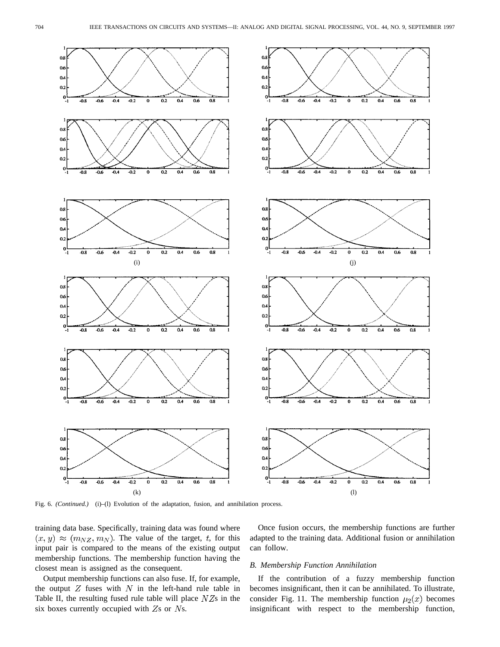

Fig. 6. *(Continued.)* (i)–(l) Evolution of the adaptation, fusion, and annihilation process.

training data base. Specifically, training data was found where  $(x, y) \approx (m_{NZ}, m_N)$ . The value of the target, t, for this input pair is compared to the means of the existing output membership functions. The membership function having the closest mean is assigned as the consequent.

Output membership functions can also fuse. If, for example, the output  $Z$  fuses with  $N$  in the left-hand rule table in Table II, the resulting fused rule table will place  $NZ$ s in the six boxes currently occupied with  $Z_s$  or  $Ns$ .

Once fusion occurs, the membership functions are further adapted to the training data. Additional fusion or annihilation can follow.

# *B. Membership Function Annihilation*

If the contribution of a fuzzy membership function becomes insignificant, then it can be annihilated. To illustrate, consider Fig. 11. The membership function  $\mu_2(x)$  becomes insignificant with respect to the membership function,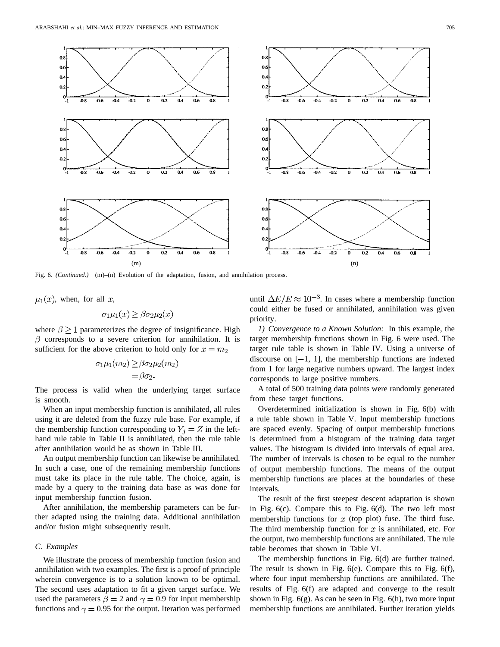

Fig. 6. *(Continued.)* (m)–(n) Evolution of the adaptation, fusion, and annihilation process.

 $\mu_1(x)$ , when, for all x,

$$
\sigma_1\mu_1(x) \ge \beta \sigma_2\mu_2(x)
$$

where  $\beta \geq 1$  parameterizes the degree of insignificance. High  $\beta$  corresponds to a severe criterion for annihilation. It is sufficient for the above criterion to hold only for  $x = m<sub>2</sub>$ 

$$
\sigma_1 \mu_1(m_2) \ge \beta \sigma_2 \mu_2(m_2) = \beta \sigma_2.
$$

The process is valid when the underlying target surface is smooth.

When an input membership function is annihilated, all rules using it are deleted from the fuzzy rule base. For example, if the membership function corresponding to  $Y_j = Z$  in the lefthand rule table in Table II is annihilated, then the rule table after annihilation would be as shown in Table III.

An output membership function can likewise be annihilated. In such a case, one of the remaining membership functions must take its place in the rule table. The choice, again, is made by a query to the training data base as was done for input membership function fusion.

After annihilation, the membership parameters can be further adapted using the training data. Additional annihilation and/or fusion might subsequently result.

## *C. Examples*

We illustrate the process of membership function fusion and annihilation with two examples. The first is a proof of principle wherein convergence is to a solution known to be optimal. The second uses adaptation to fit a given target surface. We used the parameters  $\beta = 2$  and  $\gamma = 0.9$  for input membership functions and  $\gamma = 0.95$  for the output. Iteration was performed until  $\Delta E/E \approx 10^{-3}$ . In cases where a membership function could either be fused or annihilated, annihilation was given priority.

*1) Convergence to a Known Solution:* In this example, the target membership functions shown in Fig. 6 were used. The target rule table is shown in Table IV. Using a universe of discourse on  $[-1, 1]$ , the membership functions are indexed from 1 for large negative numbers upward. The largest index corresponds to large positive numbers.

A total of 500 training data points were randomly generated from these target functions.

Overdetermined initialization is shown in Fig. 6(b) with a rule table shown in Table V. Input membership functions are spaced evenly. Spacing of output membership functions is determined from a histogram of the training data target values. The histogram is divided into intervals of equal area. The number of intervals is chosen to be equal to the number of output membership functions. The means of the output membership functions are places at the boundaries of these intervals.

The result of the first steepest descent adaptation is shown in Fig. 6(c). Compare this to Fig. 6(d). The two left most membership functions for  $x$  (top plot) fuse. The third fuse. The third membership function for  $x$  is annihilated, etc. For the output, two membership functions are annihilated. The rule table becomes that shown in Table VI.

The membership functions in Fig. 6(d) are further trained. The result is shown in Fig. 6(e). Compare this to Fig. 6(f), where four input membership functions are annihilated. The results of Fig. 6(f) are adapted and converge to the result shown in Fig. 6(g). As can be seen in Fig. 6(h), two more input membership functions are annihilated. Further iteration yields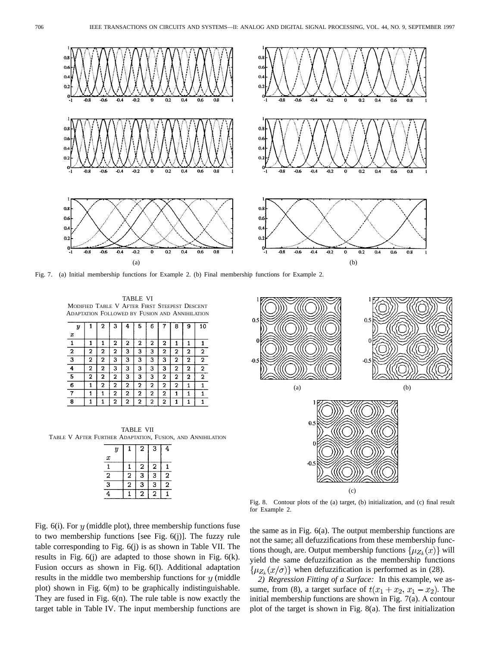

Fig. 7. (a) Initial membership functions for Example 2. (b) Final membership functions for Example 2.

TABLE VI MODIFIED TABLE V AFTER FIRST STEEPEST DESCENT ADAPTATION FOLLOWED BY FUSION AND ANNIHILATION

| y | 1 | 2 | 3 | 4 | 5              | 6 | 7 | 8 | 9            | 10           |
|---|---|---|---|---|----------------|---|---|---|--------------|--------------|
| x |   |   |   |   |                |   |   |   |              |              |
| 1 | 1 |   | 2 | 2 | 2              | 2 | 2 | 1 | 1            |              |
| 2 | 2 | 2 | 2 | 3 | 3              | 3 | 2 | 2 | 2            | $\mathbf{2}$ |
| 3 | 2 | 2 | 3 | 3 | 3              | 3 | 3 | 2 | 2            | 2            |
| 4 | 2 | 2 | 3 | з | 3              | 3 | 3 | 2 | $\mathbf{2}$ | 2            |
| 5 | 2 | 2 | 2 | з | з              | 3 | 2 | 2 | 2            | 2            |
| 6 | 1 | 2 | 2 | 2 | $\overline{2}$ | 2 | 2 | 2 | 1            |              |
| 7 | 1 | 1 | 2 | 2 | 2              | 2 | 2 | 1 | 1            | 1            |
| 8 |   |   | 2 | 2 | $\overline{2}$ | 2 | 2 | 1 | 1            |              |

TABLE VII TABLE V AFTER FURTHER ADAPTATION, FUSION, AND ANNIHILATION

| y                       |                         | 2 | 3 | 4              |
|-------------------------|-------------------------|---|---|----------------|
| $\boldsymbol{x}$        |                         |   |   |                |
|                         |                         | 2 | 2 |                |
| $\overline{2}$          | $\overline{2}$          | 3 | 3 | $\overline{a}$ |
| $\overline{\mathbf{3}}$ | $\overline{\mathbf{2}}$ | 3 | 3 | $\overline{2}$ |
|                         |                         | 2 | 2 |                |



Fig. 8. Contour plots of the (a) target, (b) initialization, and (c) final result for Example 2.

Fig.  $6(i)$ . For  $y$  (middle plot), three membership functions fuse to two membership functions [see Fig.  $6(j)$ ]. The fuzzy rule table corresponding to Fig. 6(j) is as shown in Table VII. The results in Fig. 6(j) are adapted to those shown in Fig. 6(k). Fusion occurs as shown in Fig. 6(l). Additional adaptation results in the middle two membership functions for  $y$  (middle plot) shown in Fig. 6(m) to be graphically indistinguishable. They are fused in Fig.  $6(n)$ . The rule table is now exactly the target table in Table IV. The input membership functions are

the same as in Fig. 6(a). The output membership functions are not the same; all defuzzifications from these membership functions though, are. Output membership functions  $\{\mu_{Z_k}(x)\}\$  will yield the same defuzzification as the membership functions  $\{\mu_{Z_k}(x/\sigma)\}\$  when defuzzification is performed as in (28).

*2) Regression Fitting of a Surface:* In this example, we assume, from (8), a target surface of  $t(x_1 + x_2, x_1 - x_2)$ . The initial membership functions are shown in Fig. 7(a). A contour plot of the target is shown in Fig. 8(a). The first initialization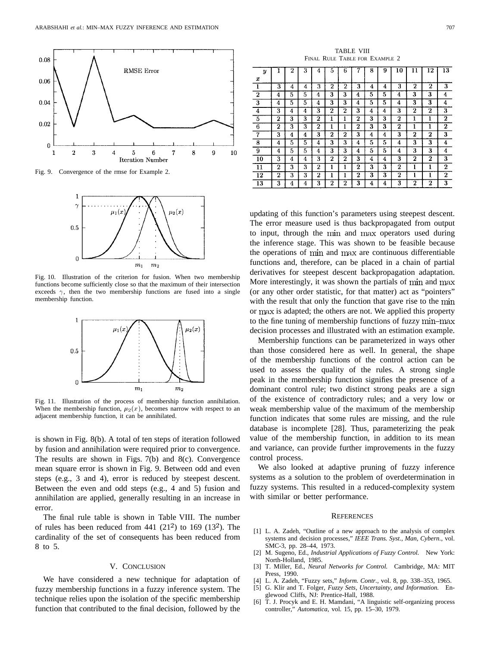

Fig. 9. Convergence of the rmse for Example 2.



Fig. 10. Illustration of the criterion for fusion. When two membership functions become sufficiently close so that the maximum of their intersection exceeds  $\gamma$ , then the two membership functions are fused into a single membership function.



Fig. 11. Illustration of the process of membership function annihilation. When the membership function,  $\mu_2(x)$ , becomes narrow with respect to an adjacent membership function, it can be annihilated.

is shown in Fig. 8(b). A total of ten steps of iteration followed by fusion and annihilation were required prior to convergence. The results are shown in Figs. 7(b) and 8(c). Convergence mean square error is shown in Fig. 9. Between odd and even steps (e.g., 3 and 4), error is reduced by steepest descent. Between the even and odd steps (e.g., 4 and 5) fusion and annihilation are applied, generally resulting in an increase in error.

The final rule table is shown in Table VIII. The number of rules has been reduced from  $441$  ( $21<sup>2</sup>$ ) to 169 ( $13<sup>2</sup>$ ). The cardinality of the set of consequents has been reduced from 8 to 5.

## V. CONCLUSION

We have considered a new technique for adaptation of fuzzy membership functions in a fuzzy inference system. The technique relies upon the isolation of the specific membership function that contributed to the final decision, followed by the

TABLE VIII FINAL RULE TABLE FOR EXAMPLE 2

| y              |              | $\boldsymbol{2}$ | 3 | 4           | 5 | 6              | 7                | 8 | 9 | 10               | 11           | 12             | $\overline{13}$         |
|----------------|--------------|------------------|---|-------------|---|----------------|------------------|---|---|------------------|--------------|----------------|-------------------------|
| x              |              |                  |   |             |   |                |                  |   |   |                  |              |                |                         |
| $\mathbf{1}$   | 3            | 4                | 4 | 3           | 2 | 2              | 3                | 4 | 4 | 3                | 2            | $\overline{2}$ | 3                       |
| $\mathbf{2}$   | 4            | 5                | 5 | 4           | 3 | 3              | 4                | 5 | 5 | 4                | 3            | 3              | 4                       |
| $\overline{3}$ | 4            | 5                | 5 | 4           | 3 | 3              | 4                | 5 | 5 | 4                | 3            | 3              | 4                       |
| 4              | 3            | 4                | 4 | 3           | 2 | $\mathbf 2$    | 3                | 4 | 4 | 3                | 2            | 2              | 3                       |
| $\overline{5}$ | $\bf{2}$     | 3                | 3 | $\mathbf 2$ |   | 1              | $\bf{2}$         | 3 | 3 | $\boldsymbol{2}$ | 1            | 1              | $\overline{2}$          |
| $\overline{6}$ | 2            | 3                | 3 | 2           | 1 | 1              | 2                | 3 | 3 | 2                | $\mathbf{1}$ | $\mathbf{1}$   | 2                       |
| 7              | 3            | 4                | 4 | 3           | 2 | $\mathbf{2}$   | 3                | 4 | 4 | 3                | 2            | 2              | 3                       |
| 8              | 4            | 5                | 5 | 4           | 3 | 3              | 4                | 5 | 5 | 4                | 3            | 3              | 4                       |
| 9              | 4            | 5                | 5 | 4           | 3 | 3              | 4                | 5 | 5 | 4                | 3            | 3              | 4                       |
| 10             | 3            | 4                | 4 | 3           | 2 | $\overline{2}$ | 3                | 4 | 4 | 3                | $\mathbf{2}$ | $\overline{2}$ | 3                       |
| 11             | 2            | 3                | 3 | 2           | 1 | 1              | 2                | 3 | 3 | $\boldsymbol{2}$ | 1            | 1              | 2                       |
| 12             | $\mathbf{2}$ | 3                | 3 | 2           | 1 | 1              | $\boldsymbol{2}$ | 3 | 3 | $\overline{2}$   | 1            | 1              | $\overline{\mathbf{2}}$ |
| 13             | 3            | 4                | 4 | 3           | 2 | 2              | 3                | 4 | 4 | 3                | 2            | $\mathbf 2$    | 3                       |

updating of this function's parameters using steepest descent. The error measure used is thus backpropagated from output to input, through the min and max operators used during the inference stage. This was shown to be feasible because the operations of min and max are continuous differentiable functions and, therefore, can be placed in a chain of partial derivatives for steepest descent backpropagation adaptation. More interestingly, it was shown the partials of min and max (or any other order statistic, for that matter) act as "pointers" with the result that only the function that gave rise to the min or max is adapted; the others are not. We applied this property to the fine tuning of membership functions of fuzzy min-max decision processes and illustrated with an estimation example.

Membership functions can be parameterized in ways other than those considered here as well. In general, the shape of the membership functions of the control action can be used to assess the quality of the rules. A strong single peak in the membership function signifies the presence of a dominant control rule; two distinct strong peaks are a sign of the existence of contradictory rules; and a very low or weak membership value of the maximum of the membership function indicates that some rules are missing, and the rule database is incomplete [28]. Thus, parameterizing the peak value of the membership function, in addition to its mean and variance, can provide further improvements in the fuzzy control process.

We also looked at adaptive pruning of fuzzy inference systems as a solution to the problem of overdetermination in fuzzy systems. This resulted in a reduced-complexity system with similar or better performance.

#### **REFERENCES**

- [1] L. A. Zadeh, "Outline of a new approach to the analysis of complex systems and decision processes," *IEEE Trans. Syst., Man, Cybern.,* vol. SMC-3, pp. 28–44, 1973.
- [2] M. Sugeno, Ed., *Industrial Applications of Fuzzy Control.* New York: North-Holland, 1985.
- [3] T. Miller, Ed., *Neural Networks for Control.* Cambridge, MA: MIT Press, 1990.
- [4] L. A. Zadeh, "Fuzzy sets," *Inform. Contr.,* vol. 8, pp. 338–353, 1965.
- [5] G. Klir and T. Folger, *Fuzzy Sets, Uncertainty, and Information.* Englewood Cliffs, NJ: Prentice-Hall, 1988.
- [6] T. J. Procyk and E. H. Mamdani, "A linguistic self-organizing process controller," *Automatica,* vol. 15, pp. 15–30, 1979.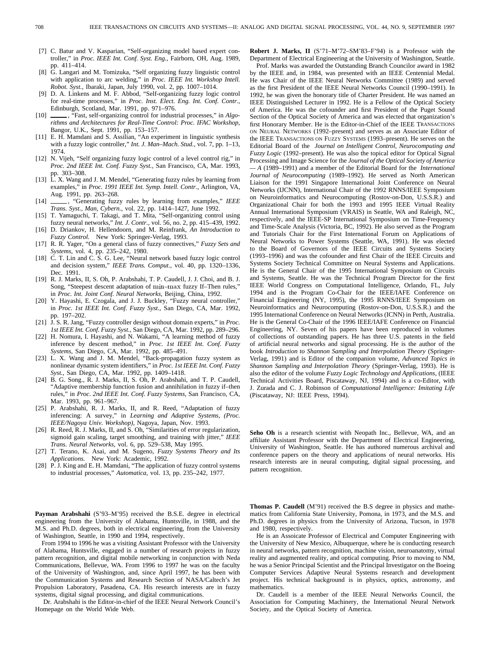- [7] C. Batur and V. Kasparian, "Self-organizing model based expert controller," in *Proc. IEEE Int. Conf. Syst. Eng.,* Fairborn, OH, Aug. 1989, pp. 411–414.
- [8] G. Langari and M. Tomizuka, "Self organizing fuzzy linguistic control with application to arc welding," in *Proc. IEEE Int. Workshop Intell. Robot. Syst.,* Ibaraki, Japan, July 1990, vol. 2, pp. 1007–1014.
- [9] D. A. Linkens and M. F. Abbod, "Self-organizing fuzzy logic control for real-time processes," in *Proc. Inst. Elect. Eng. Int. Conf. Contr.,* Edinburgh, Scotland, Mar. 1991, pp. 971–976.
- [10]  $\_\_\_\$ , "Fast, self-organizing control for industrial processes," in *Algorithms and Architectures for Real-Time Control: Proc. IFAC Workshop,* Bangor, U.K., Sept. 1991, pp. 153–157.
- [11] E. H. Mamdani and S. Assilian, "An experiment in linguistic synthesis with a fuzzy logic controller," *Int. J. Man–Mach. Stud.,* vol. 7, pp. 1–13, 1974.
- [12] N. Vijeh, "Self organizing fuzzy logic control of a level control rig," in *Proc. 2nd IEEE Int. Conf. Fuzzy Syst.,* San Francisco, CA, Mar. 1993, pp. 303–308.
- [13] L. X. Wang and J. M. Mendel, "Generating fuzzy rules by learning from examples," in *Proc. 1991 IEEE Int. Symp. Intell. Contr.,* Arlington, VA, Aug. 1991, pp. 263–268.
- [14] , "Generating fuzzy rules by learning from examples," *IEEE Trans. Syst., Man, Cybern.,* vol. 22, pp. 1414–1427, June 1992.
- [15] T. Yamaguchi, T. Takagi, and T. Mita, "Self-organizing control using fuzzy neural networks," *Int. J. Contr.,* vol. 56, no. 2, pp. 415–439, 1992.
- [16] D. Driankov, H. Hellendoorn, and M. Reinfrank, *An Introduction to Fuzzy Control.* New York: Springer-Verlag, 1993.
- [17] R. R. Yager, "On a general class of fuzzy connectives," *Fuzzy Sets and Systems,* vol. 4, pp. 235–242, 1980.
- [18] C. T. Lin and C. S. G. Lee, "Neural network based fuzzy logic control and decision system," *IEEE Trans. Comput.,* vol. 40, pp. 1320–1336, Dec. 1991.
- [19] R. J. Marks, II, S. Oh, P. Arabshahi, T. P. Caudell, J. J. Choi, and B. J. Song, "Steepest descent adaptation of min–max fuzzy If–Then rules," in *Proc. Int. Joint Conf. Neural Networks,* Beijing, China, 1992.
- [20] Y. Hayashi, E. Czogala, and J. J. Buckley, "Fuzzy neural controller," in *Proc. 1st IEEE Int. Conf. Fuzzy Syst.,* San Diego, CA, Mar. 1992, pp. 197–202.
- [21] J. S. R. Jang, "Fuzzy controller design without domain experts," in *Proc. 1st IEEE Int. Conf. Fuzzy Syst.,* San Diego, CA, Mar. 1992, pp. 289–296.
- [22] H. Nomura, I. Hayashi, and N. Wakami, "A learning method of fuzzy inference by descent method," in *Proc. 1st IEEE Int. Conf. Fuzzy Systems,* San Diego, CA, Mar. 1992, pp. 485–491.
- [23] L. X. Wang and J. M. Mendel, "Back-propagation fuzzy system as nonlinear dynamic system identifiers," in *Proc. 1st IEEE Int. Conf. Fuzzy Syst.,* San Diego, CA, Mar. 1992, pp. 1409–1418.
- [24] B. G. Song., R. J. Marks, II, S. Oh, P. Arabshahi, and T. P. Caudell, "Adaptive membership function fusion and annihilation in fuzzy if–then rules," in *Proc. 2nd IEEE Int. Conf. Fuzzy Systems,* San Francisco, CA, Mar. 1993, pp. 961–967.
- [25] P. Arabshahi, R. J. Marks, II, and R. Reed, "Adaptation of fuzzy inferencing: A survey," in *Learning and Adaptive Systems, (Proc. IEEE/Nagoya Univ. Workshop),* Nagoya, Japan, Nov. 1993.
- [26] R. Reed, R. J. Marks, II, and S. Oh, "Similarities of error regularization, sigmoid gain scaling, target smoothing, and training with jitter," *IEEE Trans. Neural Networks,* vol. 6, pp. 529–538, May 1995.
- [27] T. Terano, K. Asai, and M. Sugeno, *Fuzzy Systems Theory and Its Applications.* New York: Academic, 1992.
- [28] P. J. King and E. H. Mamdani, "The application of fuzzy control systems to industrial processes," *Automatica,* vol. 13, pp. 235–242, 1977.

**Payman Arabshahi** (S'93–M'95) received the B.S.E. degree in electrical engineering from the University of Alabama, Huntsville, in 1988, and the M.S. and Ph.D. degrees, both in electrical engineering, from the University of Washington, Seattle, in 1990 and 1994, respectively.

From 1994 to 1996 he was a visiting Assistant Professor with the University of Alabama, Huntsville, engaged in a number of research projects in fuzzy pattern recognition, and digital mobile networking in conjunction with Neda Communications, Bellevue, WA. From 1996 to 1997 he was on the faculty of the University of Washington, and, since April 1997, he has been with the Communication Systems and Research Section of NASA/Caltech's Jet Propulsion Laboratory, Pasadena, CA. His research interests are in fuzzy systems, digital signal processing, and digital communications.

Dr. Arabshahi is the Editor-in-chief of the IEEE Neural Network Council's Homepage on the World Wide Web.

**Robert J. Marks, II** (S'71–M'72–SM'83–F'94) is a Professor with the Department of Electrical Engineering at the University of Washington, Seattle.

Prof. Marks was awarded the Outstanding Branch Councilor award in 1982 by the IEEE and, in 1984, was presented with an IEEE Centennial Medal. He was Chair of the IEEE Neural Networks Committee (1989) and served as the first President of the IEEE Neural Networks Council (1990–1991). In 1992, he was given the honorary title of Charter President. He was named an IEEE Distinguished Lecturer in 1992. He is a Fellow of the Optical Society of America. He was the cofounder and first President of the Puget Sound Section of the Optical Society of America and was elected that organization's first Honorary Member. He is the Editor-in-Chief of the IEEE TRANSACTIONS ON NEURAL NETWORKS (1992–present) and serves as an Associate Editor of the IEEE TRANSACTIONS ON FUZZY SYSTEMS (1993–present). He serves on the Editorial Board of the *Journal on Intelligent Control, Neurocomputing and Fuzzy Logic* (1992–present). He was also the topical editor for Optical Signal Processing and Image Science for the *Journal of the Optical Society of America*

*— A* (1989–1991) and a member of the Editorial Board for the *International Journal of Neurocomputing* (1989–1992). He served as North American Liaison for the 1991 Singapore International Joint Conference on Neural Networks (IJCNN), International Chair of the 1992 RNNS/IEEE Symposium on Neuroinformatics and Neurocomputing (Rostov-on-Don, U.S.S.R.) and Organizational Chair for both the 1993 and 1995 IEEE Virtual Reality Annual International Symposium (VRAIS) in Seattle, WA and Raleigh, NC, respectively, and the IEEE-SP International Symposium on Time-Frequency and Time-Scale Analysis (Victoria, BC, 1992). He also served as the Program and Tutorials Chair for the First International Forum on Applications of Neural Networks to Power Systems (Seattle, WA, 1991). He was elected to the Board of Governors of the IEEE Circuits and Systems Society (1993–1996) and was the cofounder and first Chair of the IEEE Circuits and Systems Society Technical Committee on Neural Systems and Applications. He is the General Chair of the 1995 International Symposium on Circuits and Systems, Seattle. He was the Technical Program Director for the first IEEE World Congress on Computational Intelligence, Orlando, FL, July 1994 and is the Program Co-Chair for the IEEE/IAFE Conference on Financial Engineering (NY, 1995), the 1995 RNNS/IEEE Symposium on Neuroinformatics and Neurocomputing (Rostov-on-Don, U.S.S.R.) and the 1995 International Conference on Neural Networks (ICNN) in Perth, Australia. He is the General Co-Chair of the 1996 IEEE/IAFE Conference on Financial Engineering, NY. Seven of his papers have been reproduced in volumes of collections of outstanding papers. He has three U.S. patents in the field of artificial neural networks and signal processing. He is the author of the book *Introduction to Shannon Sampling and Interpolation Theory* (Springer-Verlag, 1991) and is Editor of the companion volume, *Advanced Topics in Shannon Sampling and Interpolation Theory* (Springer-Verlag, 1993). He is also the editor of the volume *Fuzzy Logic Technology and Applications*, (IEEE Technical Activities Board, Piscataway, NJ, 1994) and is a co-Editor, with J. Zurada and C. J. Robinson of *Computational Intelligence: Imitating Life* (Piscataway, NJ: IEEE Press, 1994).

**Seho Oh** is a research scientist with Neopath Inc., Bellevue, WA, and an affiliate Assistant Professor with the Department of Electrical Engineering, University of Washington, Seattle. He has authored numerous archival and conference papers on the theory and applications of neural networks. His research interests are in neural computing, digital signal processing, and pattern recognition.

**Thomas P. Caudell** (M'91) received the B.S degree in physics and mathematics from California State University, Pomona, in 1973, and the M.S. and Ph.D. degrees in physics from the University of Arizona, Tucson, in 1978 and 1980, respectively.

He is an Assoicate Professor of Electrical and Computer Engineering with the University of New Mexico, Albuquerque, where he is conducting research in neural networks, pattern recognition, machine vision, neuroanatomy, virtual reality and augmented reality, and optical computing. Prior to moving to NM, he was a Senior Principal Scientist and the Principal Investigator on the Boeing Computer Services Adaptive Neural Systems research and development project. His technical background is in physics, optics, astronomy, and mathematics.

Dr. Caudell is a member of the IEEE Neural Networks Council, the Association for Computing Machinery, the International Neural Network Society, and the Optical Society of America.